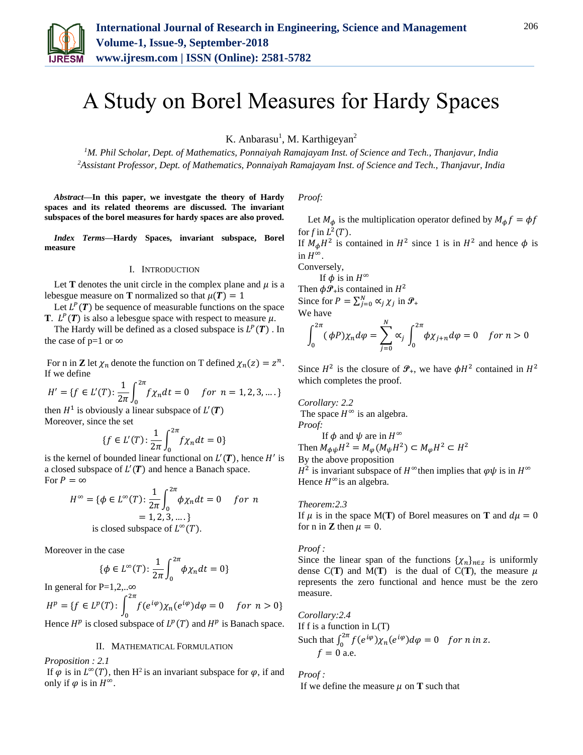

# A Study on Borel Measures for Hardy Spaces

K. Anbarasu<sup>1</sup>, M. Karthigeyan<sup>2</sup>

*<sup>1</sup>M. Phil Scholar, Dept. of Mathematics, Ponnaiyah Ramajayam Inst. of Science and Tech., Thanjavur, India 2Assistant Professor, Dept. of Mathematics, Ponnaiyah Ramajayam Inst. of Science and Tech., Thanjavur, India*

*Abstract***—In this paper, we investgate the theory of Hardy spaces and its related theorems are discussed. The invariant subspaces of the borel measures for hardy spaces are also proved.** 

*Index Terms***—Hardy Spaces, invariant subspace, Borel measure**

#### I. INTRODUCTION

Let **T** denotes the unit circle in the complex plane and  $\mu$  is a lebesgue measure on **T** normalized so that  $\mu(T) = 1$ 

Let  $L^P(T)$  be sequence of measurable functions on the space **T**.  $L^P(T)$  is also a lebesgue space with respect to measure  $\mu$ .

The Hardy will be defined as a closed subspace is  $L^P(T)$ . In the case of p=1 or  $\infty$ 

For n in **Z** let  $\chi_n$  denote the function on T defined  $\chi_n(z) = z^n$ . If we define

$$
H' = \{ f \in L'(T) : \frac{1}{2\pi} \int_0^{2\pi} f \chi_n dt = 0 \quad \text{for } n = 1, 2, 3, \dots \}
$$

then  $H^1$  is obviously a linear subspace of  $L'(T)$ Moreover, since the set

$$
\{f \in L'(T) : \frac{1}{2\pi} \int_0^{2\pi} f \chi_n dt = 0\}
$$

is the kernel of bounded linear functional on  $L'(T)$ , hence H' is a closed subspace of  $L'(T)$  and hence a Banach space. For  $P = \infty$ 

$$
H^{\infty} = \{ \phi \in L^{\infty}(T) : \frac{1}{2\pi} \int_0^{2\pi} \phi \chi_n dt = 0 \quad \text{for } n
$$
  
= 1, 2, 3, ....}

Moreover in the case

$$
\{\phi \in L^{\infty}(T) : \frac{1}{2\pi} \int_0^{2\pi} \phi \chi_n dt = 0\}
$$

In general for P=1,2,.. $\infty$ 

 $H^{p} = \{ f \in L^{p}(T) : \int^{2\pi} f(e^{i\varphi}) \chi_{n}(e^{i\varphi}) d\varphi = 0 \}$ 0 for  $n > 0$ }

Hence  $H^p$  is closed subspace of  $L^p(T)$  and  $H^p$  is Banach space.

#### II. MATHEMATICAL FORMULATION

*Proposition : 2.1*

If  $\varphi$  is in  $L^{\infty}(T)$ , then H<sup>2</sup> is an invariant subspace for  $\varphi$ , if and only if  $\varphi$  is in  $H^{\infty}$ .

*Proof:*

Let  $M_{\phi}$  is the multiplication operator defined by  $M_{\phi} f = \phi f$ for  $f$  in  $L^2(T)$ .

If  $M_{\phi}H^2$  is contained in  $H^2$  since 1 is in  $H^2$  and hence  $\phi$  is in  $H^{\infty}$ .

Conversely,

If  $\phi$  is in  $H^{\infty}$ Then  $\phi \mathcal{P}_+$  is contained in  $H^2$ Since for  $P = \sum_{j=0}^{N} \alpha_j \chi_j$  in  $\mathcal{P}_+$ We have

$$
\int_0^{2\pi} (\phi P) \chi_n d\varphi = \sum_{j=0}^N \alpha_j \int_0^{2\pi} \phi \chi_{j+n} d\varphi = 0 \quad \text{for } n > 0
$$

Since  $H^2$  is the closure of  $\mathcal{P}_+$ , we have  $\phi H^2$  contained in  $H^2$ which completes the proof.

*Corollary: 2.2* The space  $H^{\infty}$  is an algebra. *Proof:* 

If  $\phi$  and  $\psi$  are in  $H^{\infty}$ Then  $M_{\phi\psi}H^2 = M_{\phi}(M_{\psi}H^2) \subset M_{\phi}H^2 \subset H^2$ By the above proposition  $H^2$  is invariant subspace of  $H^{\infty}$  then implies that  $\varphi\psi$  is in  $H^{\infty}$ Hence  $H^{\infty}$ is an algebra.

#### *Theorem:2.3*

If  $\mu$  is in the space M(**T**) of Borel measures on **T** and  $d\mu = 0$ for n in **Z** then  $\mu = 0$ .

#### *Proof :*

Since the linear span of the functions  $\{\chi_n\}_{n\in\mathbb{Z}}$  is uniformly dense  $C(T)$  and  $M(T)$  is the dual of  $C(T)$ , the measure  $\mu$ represents the zero functional and hence must be the zero measure.

*Corollary:2.4* If f is a function in  $L(T)$ Such that  $\int_0^{2\pi} f(e^{i\varphi}) \chi_n(e^{i\varphi}) d\varphi = 0$  for *n* in *z*.  $f = 0$  a.e.

*Proof :*  If we define the measure  $\mu$  on **T** such that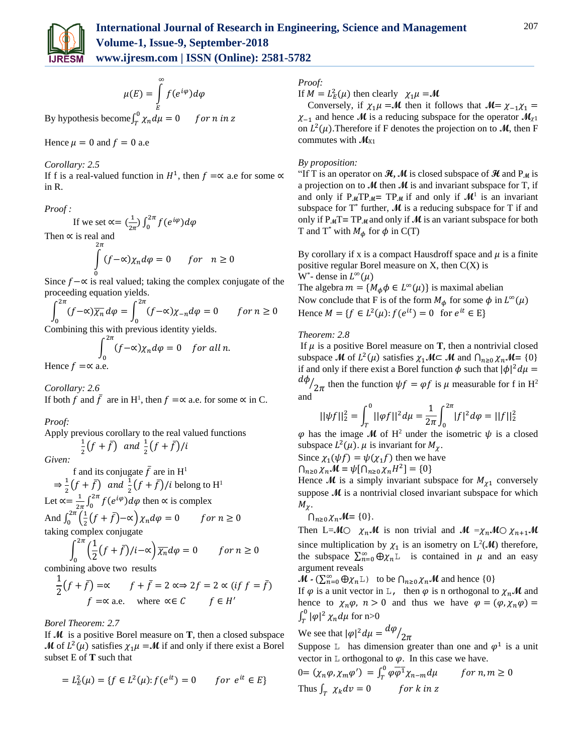

$$
\mu(E) = \int\limits_{E}^{\infty} f(e^{i\varphi}) d\varphi
$$

By hypothesis become  $\int_T^0 \chi_n d\mu = 0$  for n in z T

Hence  $\mu = 0$  and  $f = 0$  a.e

# *Corollary: 2.5*

If f is a real-valued function in  $H^1$ , then  $f = \infty$  a.e for some  $\infty$ in R.

*Proof :*

If we set 
$$
\alpha = (\frac{1}{2\pi}) \int_0^{2\pi} f(e^{i\varphi}) d\varphi
$$
  
Then  $\alpha$  is real and

Then  $\propto$  is real and  $\frac{2\pi}{\pi}$ 

$$
\int (f - \alpha) \chi_n d\varphi = 0 \quad \text{for} \quad n \ge 0
$$

0 Since  $f - \alpha$  is real valued; taking the complex conjugate of the proceeding equation yields.

$$
\int_0^{2\pi} (f - \alpha) \overline{\chi_n} \, d\varphi = \int_0^{2\pi} (f - \alpha) \chi_{-n} \, d\varphi = 0 \qquad \text{for } n \ge 0
$$

Combining this with previous identity yields.

$$
\int_0^{2\pi} (f - \alpha) \chi_n d\varphi = 0 \quad \text{for all } n.
$$

Hence  $f = \propto$  a.e.

*Corollary: 2.6* If both f and  $\bar{f}$  are in H<sup>1</sup>, then  $f = \infty$  a.e. for some  $\infty$  in C.

*Proof:* 

Apply previous corollary to the real valued functions 1  $\frac{1}{2}(f + \bar{f})$  and  $\frac{1}{2}(f + \bar{f})/i$ 

*Given:* 

f and its conjugate  $\bar{f}$  are in H<sup>1</sup>  $\Rightarrow \frac{1}{2}(f + \bar{f})$  and  $\frac{1}{2}(f + \bar{f})/i$  belong to H<sup>1</sup>  $2^{\nu}$   $\cdots$   $2^{\nu}$ Let  $\alpha = \frac{1}{2}$  $\frac{1}{2\pi} \int_0^{2\pi} f(e^{i\varphi}) d\varphi$  then  $\propto$  is complex And  $\int_0^{2\pi} \left(\frac{1}{2}\right)$  $\int_{0}^{2\pi} \left(\frac{1}{2}(f+\bar{f})-\alpha\right) \chi_n d\varphi = 0$  for  $n \ge 0$ 0 taking complex conjugate

$$
\int_0^{2\pi} \left(\frac{1}{2}(f+\bar{f})/i - \alpha\right) \overline{\chi_n} d\varphi = 0 \qquad \text{for } n \ge 0
$$

combining above two results

$$
\frac{1}{2}(f + \bar{f}) = \alpha \qquad f + \bar{f} = 2 \ll \Rightarrow 2f = 2 \ll (if \ f = \bar{f})
$$
  

$$
f = \alpha \text{ a.e.} \qquad \text{where } \alpha \in C \qquad f \in H'
$$

*Borel Theorem: 2.7*

If **M** is a positive Borel measure on **T**, then a closed subspace **M** of  $L^2(\mu)$  satisfies  $\chi_1\mu = M$  if and only if there exist a Borel subset E of **T** such that

$$
= L_E^2(\mu) = \{ f \in L^2(\mu) : f(e^{it}) = 0 \quad \text{for } e^{it} \in E \}
$$

## *Proof:*

If  $M = L_E^2(\mu)$  then clearly  $\chi_1 \mu = M$ 

Conversely, if  $\chi_1 \mu = M$  then it follows that  $M = \chi_{-1} \chi_1 =$  $\chi_{-1}$  and hence **M** is a reducing subspace for the operator  $M_{\chi_1}$ on  $L^2(\mu)$ . Therefore if F denotes the projection on to **M**, then F commutes with  $M_{X1}$ 

## *By proposition:*

"If T is an operator on  $\mathcal{H}$ , M is closed subspace of  $\mathcal{H}$  and P<sub>M</sub> is a projection on to  $\mathcal{M}$  then  $\mathcal{M}$  is and invariant subspace for T, if and only if  $P_MTP_M = TP_M$  if and only if  $M^1$  is an invariant subspace for  $T^*$  further,  $M$  is a reducing subspace for  $T$  if and only if  $P_M T = TP_M$  and only if M is an variant subspace for both T and T<sup>\*</sup> with  $M_{\phi}$  for  $\phi$  in C(T)

By corollary if x is a compact Hausdroff space and  $\mu$  is a finite positive regular Borel measure on  $X$ , then  $C(X)$  is W<sup>\*</sup>- dense in  $L^{\infty}(\mu)$ The algebra  $m = {M_{\phi}\phi \in L^{\infty}(\mu)}$  is maximal abelian Now conclude that F is of the form  $M_{\phi}$  for some  $\phi$  in  $L^{\infty}(\mu)$ Hence  $M = \{f \in L^2(\mu): f(e^{it}) = 0 \text{ for } e^{it} \in E\}$ 

## *Theorem: 2.8*

If  $\mu$  is a positive Borel measure on **T**, then a nontrivial closed subspace **M** of  $L^2(\mu)$  satisfies  $\chi_1 \mathcal{M} \subset \mathcal{M}$  and  $\bigcap_{n \geq 0} \chi_n \mathcal{M} = \{0\}$ if and only if there exist a Borel function  $\phi$  such that  $|\phi|^2 d\mu =$ dф  $\sqrt{2\pi}$  then the function  $\psi f = \varphi f$  is  $\mu$  measurable for f in H<sup>2</sup> and

$$
||\psi f||_2^2 = \int_T^0 ||\varphi f||^2 d\mu = \frac{1}{2\pi} \int_0^{2\pi} |f|^2 d\varphi = ||f||_2^2
$$

 $\varphi$  has the image M of H<sup>2</sup> under the isometric  $\psi$  is a closed subspace  $L^2(\mu)$ .  $\mu$  is invariant for  $M_{\chi}$ .

Since  $\chi_1(\psi f) = \psi(\chi_1 f)$  then we have

$$
\bigcap_{n\geq 0}\chi_n\mathcal{M}=\psi\big[\bigcap_{n\geq 0}\chi_nH^2\big]=\{0\}
$$

Hence  $\mathcal{M}$  is a simply invariant subspace for  $M_{\chi_1}$  conversely suppose **M** is a nontrivial closed invariant subspace for which  $M_{\gamma}$ .

$$
\bigcap_{n\geq 0}\chi_n\mathcal{M}=\{0\}.
$$

Then L= $\mathcal{M}$  $\circ$   $\chi_n \mathcal{M}$  is non trivial and  $\mathcal{M} = \chi_n \mathcal{M} \circ \chi_{n+1} \mathcal{M}$ since multiplication by  $\chi_1$  is an isometry on  $L^2(\mathcal{M})$  therefore, the subspace  $\sum_{n=0}^{\infty} \bigoplus \chi_n$  is contained in  $\mu$  and an easy argument reveals

 $\mathcal{M}$  - ( $\sum_{n=0}^{\infty} \bigoplus \chi_n$ L) to be  $\bigcap_{n \geq 0} \chi_n \mathcal{M}$  and hence  $\{0\}$ 

If  $\varphi$  is a unit vector in L, then  $\varphi$  is n orthogonal to  $\chi_n \mathcal{M}$  and hence to  $\chi_n \varphi$ ,  $n > 0$  and thus we have  $\varphi = (\varphi, \chi_n \varphi)$  =  $\int_{\tau}^{0} |\varphi|^2$  $\int_T^{\infty} |\varphi|^2 \chi_n d\mu$  for n>0

We see that 
$$
|\varphi|^2 d\mu = \frac{d\varphi}{2\pi}
$$

Suppose L has dimension greater than one and  $\varphi^1$  is a unit vector in  $\mathbb L$  orthogonal to  $\varphi$ . In this case we have.

$$
0 = (\chi_n \varphi, \chi_m \varphi') = \int_T^0 \varphi \overline{\varphi^1} \chi_{n-m} d\mu \qquad \text{for } n, m \ge 0
$$
  
Thus  $\int_T^{\infty} \chi_k dv = 0$  for k in z